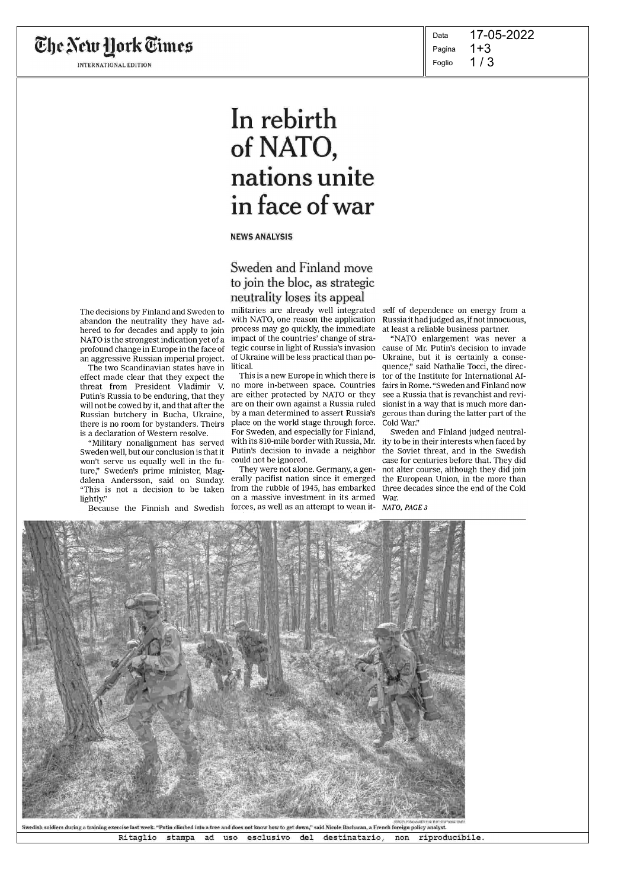The New York Times

INTERNATIONAL EDITION

 $1/3$ Data Pagina Foglio 17-05-2022 1+3

# In rebirth of NATO, nations unite in face of war

### NEWS ANALYSIS

### Sweden and Finland move to join the bloc, as strategic neutrality loses its appeal

The decisions by Finland and Sweden to abandon the neutrality they have adhered to for decades and apply to join NATO is the strongest indication yet of a profound change in Europe in the face of an aggressive Russian imperial project.

The two Scandinavian states have in effect made clear that they expect the threat from President Vladimir V. Putin's Russia to be enduring, that they will not be cowed by it, and that after the Russian butchery in Bucha, Ukraine, there is no room for bystanders. Theirs is a declaration of Western resolve.

"Military nonalignment has served Sweden well, but our conclusion is that it won't serve us equally well in the future," Sweden's prime minister, Magdalena Andersson, said on Sunday. "This is not a decision to be taken lightly."

Because the Finnish and Swedish

with NATO, one reason the application process may go quickly, the immediate impact of the countries' change of straof Ukraine will be less practical than political.

This is a new Europe in which there is no more in-between space. Countries are either protected by NATO or they are on their own against a Russia ruled by a man determined to assert Russia's place on the world stage through force. For Sweden, and especially for Finland, Putin's decision to invade a neighbor could not be ignored.

They were not alone. Germany, a generally pacifist nation since it emerged the European Union, in the more than from the rubble of 1945, has embarked three decades since the end of the Cold on a massive investment in its armed forces, as well as an attempt to wean it- NATO, PAGE 3

militaries are already well integrated self of dependence on energy from a Russia it had judged as, if not innocuous, at least a reliable business partner.

tegic course in light of Russia's invasion cause of Mr. Putin's decision to invade "NATO enlargement was never a Ukraine, but it is certainly a consequence," said Nathalie Tocci, the director of the Institute for International Affairs in Rome. "Sweden and Finland now see a Russia that is revanchist and revisionist in a way that is much more dangerous than during the latter part of the Cold War."

with its 810-mile border with Russia, Mr. ity to be in their interests when faced by Sweden and Finland judged neutralthe Soviet threat, and in the Swedish case for centuries before that. They did not alter course, although they did join War.





Ritaglio stampa ad uso esclusivo del destinatario, non riproducibile.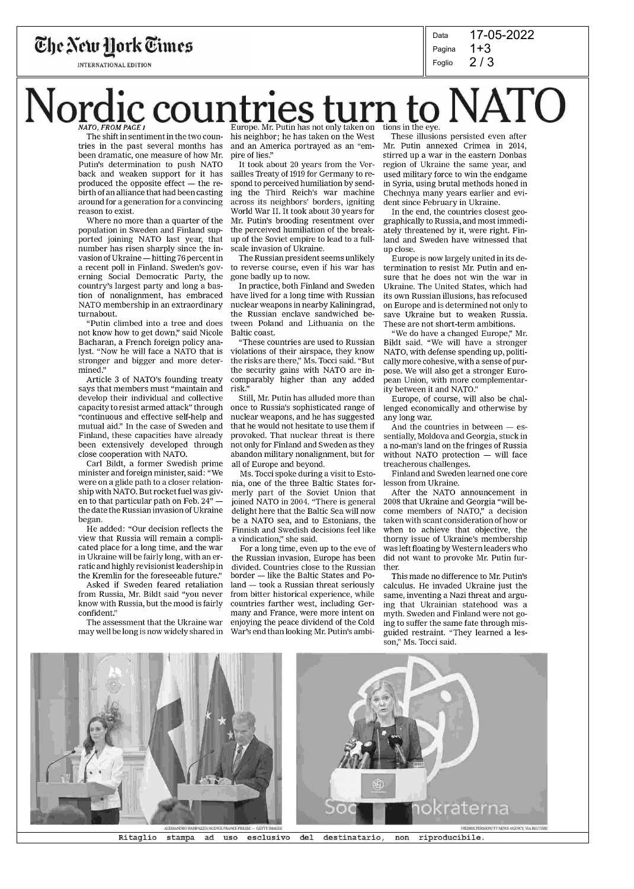

INTERNATIONAL EDITION

2 / 3 Data Pagina Foglio 17-05-2022 1+3

## Nordic countries turn to NATO Europe. Mr. Putin has not only taken on

The shift in sentiment in the two countries in the past several months has been dramatic, one measure of how Mr. Putin's determination to push NATO back and weaken support for it has produced the opposite effect — the rebirth of an alliance that had been casting around for a generation for a convincing reason to exist.

Where no more than a quarter of the population in Sweden and Finland supported joining NATO last year, that number has risen sharply since the invasion of Ukraine — hitting 76 percent in a recent poll in Finland. Sweden's governing Social Democratic Party, the country's largest party and long a bastion of nonalignment, has embraced NATO membership in an extraordinary turnabout.

"Putin climbed into a tree and does not know how to get down," said Nicole Bacharan, a French foreign policy analyst. "Now he will face a NATO that is stronger and bigger and more determined."

Article 3 of NATO's founding treaty says that members must "maintain and develop their individual and collective capacity to resist armed attack" through "continuous and effective self-help and mutual aid." In the case of Sweden and Finland, these capacities have already been extensively developed through close cooperation with NATO.

Carl Bildt, a former Swedish prime minister and foreign minister, said: "We were on a glide path to a closer relationship with NATO. But rocket fuel was given to that particular path on Feb.  $24$ " the date the Russian invasion of Ukraine began.

He added: "Our decision reflects the view that Russia will remain a complicated place for a long time, and the war in Ukraine will be fairly long, with an erratic and highly revisionist leadership in the Kremlin for the foreseeable future."

Asked if Sweden feared retaliation from Russia, Mr. Bildt said "you never know with Russia, but the mood is fairly confident."

The assessment that the Ukraine war may well be long is now widely shared in

his neighbor; he has taken on the West and an America portrayed as an "empire of lies."

It took about 20 years from the Versailles Treaty of 1919 for Germany to respond to perceived humiliation by sending the Third Reich's war machine across its neighbors' borders, igniting World War II. It took about 30 years for Mr. Putin's brooding resentment over the perceived humiliation of the breakup of the Soviet empire to lead to a fullscale invasion of Ukraine.

The Russian president seems unlikely to reverse course, even if his war has gone badly up to now.

In practice, both Finland and Sweden have lived for a long time with Russian nuclear weapons in nearby Kaliningrad, the Russian enclave sandwiched between Poland and Lithuania on the Baltic coast.

"These countries are used to Russian violations of their airspace, they know the risks are there," Ms. Tocci said. "But the security gains with NATO are incomparably higher than any added risk."

Still, Mr. Putin has alluded more than once to Russia's sophisticated range of nuclear weapons, and he has suggested that he would not hesitate to use them if provoked. That nuclear threat is there not only for Finland and Sweden as they abandon military nonalignment, but for all of Europe and beyond.

Ms. Tocci spoke during a visit to Estonia, one of the three Baltic States formerly part of the Soviet Union that joined NATO in 2004. "There is general delight here that the Baltic Sea will now be a NATO sea, and to Estonians, the Finnish and Swedish decisions feel like a vindication," she said.

For a long time, even up to the eve of the Russian invasion, Europe has been divided. Countries close to the Russian border — like the Baltic States and Poland — took a Russian threat seriously from bitter historical experience, while countries farther west, including Germany and France, were more intent on enjoying the peace dividend of the Cold War's end than looking Mr. Putin's ambi-

These illusions persisted even after Mr. Putin annexed Crimea in 2014, stirred up a war in the eastern Donbas region of Ukraine the same year, and used military force to win the endgame in Syria, using brutal methods honed in Chechnya many years earlier and evident since February in Ukraine.

In the end, the countries closest geographically to Russia, and most immediately threatened by it, were right. Finland and Sweden have witnessed that up close.

Europe is now largely united in its determination to resist Mr. Putin and ensure that he does not win the war in Ukraine. The United States, which had its own Russian illusions, has refocused on Europe and is determined not only to save Ukraine but to weaken Russia. These are not short-term ambitions.

"We do have a changed Europe," Mr. Bildt said. "We will have a stronger NATO, with defense spending up, politically more cohesive, with a sense of purpose. We will also get a stronger European Union, with more complementarity between it and NATO."

Europe, of course, will also be challenged economically and otherwise by any long war.

And the countries in between — essentially, Moldova and Georgia, stuck in a no-man's land on the fringes of Russia without NATO protection — will face treacherous challenges.

Finland and Sweden learned one core lesson from Ukraine.

After the NATO announcement in 2008 that Ukraine and Georgia "will become members of NATO," a decision taken with scant consideration of how or when to achieve that objective, the thorny issue of Ukraine's membership was left floating by Western leaders who did not want to provoke Mr. Putin further.

This made no difference to Mr. Putin's calculus. He invaded Ukraine just the same, inventing a Nazi threat and arguing that Ukrainian statehood was a myth. Sweden and Finland were not going to suffer the same fate through misguided restraint. "They learned a lesson," Ms. Tocci said.



Ritaglio stampa ad uso esclusivo del destinatario, non riproducibile.